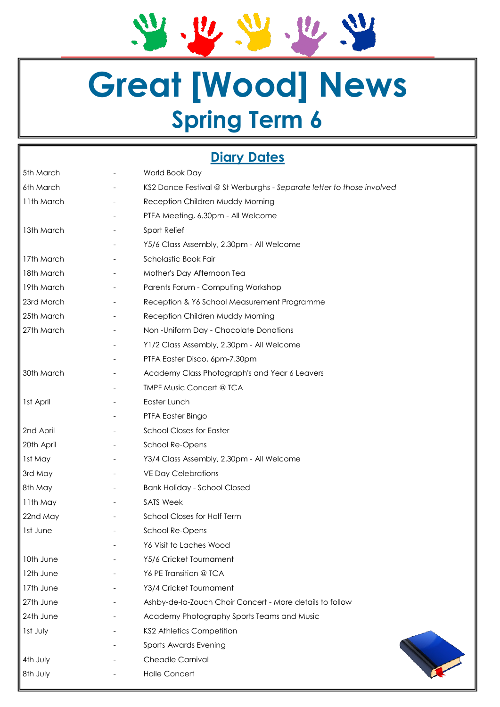2.2.2.2.2

# **Great [Wood] News Spring Term 6**

# **Diary Dates**

| 5th March  | World Book Day                                                        |  |  |
|------------|-----------------------------------------------------------------------|--|--|
| 6th March  | KS2 Dance Festival @ St Werburghs - Separate letter to those involved |  |  |
| 11th March | Reception Children Muddy Morning                                      |  |  |
|            | PTFA Meeting, 6.30pm - All Welcome                                    |  |  |
| 13th March | Sport Relief                                                          |  |  |
|            | Y5/6 Class Assembly, 2.30pm - All Welcome                             |  |  |
| 17th March | Scholastic Book Fair                                                  |  |  |
| 18th March | Mother's Day Afternoon Tea                                            |  |  |
| 19th March | Parents Forum - Computing Workshop                                    |  |  |
| 23rd March | Reception & Y6 School Measurement Programme                           |  |  |
| 25th March | Reception Children Muddy Morning                                      |  |  |
| 27th March | Non-Uniform Day - Chocolate Donations                                 |  |  |
|            | Y1/2 Class Assembly, 2.30pm - All Welcome                             |  |  |
|            | PTFA Easter Disco, 6pm-7.30pm                                         |  |  |
| 30th March | Academy Class Photograph's and Year 6 Leavers                         |  |  |
|            | <b>TMPF Music Concert @ TCA</b>                                       |  |  |
| 1st April  | Easter Lunch                                                          |  |  |
|            | PTFA Easter Bingo                                                     |  |  |
| 2nd April  | <b>School Closes for Easter</b>                                       |  |  |
| 20th April | School Re-Opens                                                       |  |  |
| 1st May    | Y3/4 Class Assembly, 2.30pm - All Welcome                             |  |  |
| 3rd May    | <b>VE Day Celebrations</b>                                            |  |  |
| 8th May    | <b>Bank Holiday - School Closed</b>                                   |  |  |
| 11th May   | <b>SATS Week</b>                                                      |  |  |
| 22nd May   | <b>School Closes for Half Term</b>                                    |  |  |
| 1st June   | School Re-Opens                                                       |  |  |
|            | Y6 Visit to Laches Wood                                               |  |  |
| 10th June  | Y5/6 Cricket Tournament                                               |  |  |
| 12th June  | Y6 PE Transition @ TCA                                                |  |  |
| 17th June  | Y3/4 Cricket Tournament                                               |  |  |
| 27th June  | Ashby-de-la-Zouch Choir Concert - More details to follow              |  |  |
| 24th June  | Academy Photography Sports Teams and Music                            |  |  |
| Ist July   | <b>KS2 Athletics Competition</b>                                      |  |  |
|            | Sports Awards Evening                                                 |  |  |
| 4th July   | Cheadle Carnival                                                      |  |  |
| 8th July   | <b>Halle Concert</b>                                                  |  |  |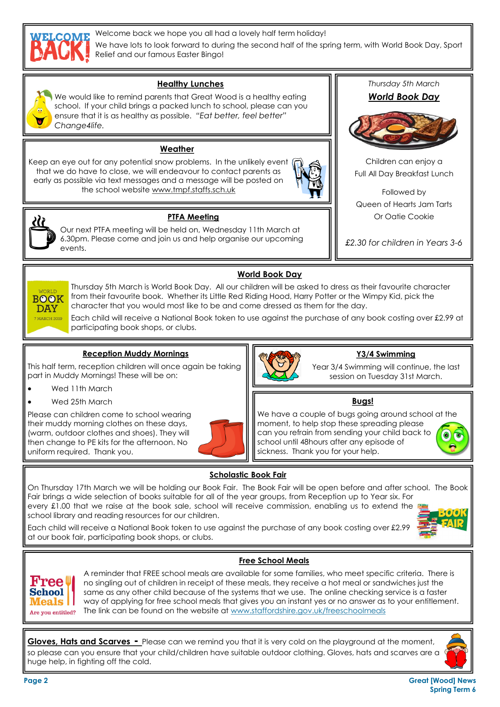

Welcome back we hope you all had a lovely half term holiday!

We have lots to look forward to during the second half of the spring term, with World Book Day, Sport Relief and our famous Easter Bingo!



### **Healthy Lunches**

We would like to remind parents that Great Wood is a healthy eating school. If your child brings a packed lunch to school, please can you ensure that it is as healthy as possible. *"Eat better, feel better" Change4life.*

#### **Weather**

Keep an eye out for any potential snow problems. In the unlikely event that we do have to close, we will endeavour to contact parents as early as possible via text messages and a message will be posted on the school website www.tmpf.staffs.sch.uk





 $V$ 

**DAY** MARCH 2019 **PTFA Meeting**

Our next PTFA meeting will be held on, Wednesday 11th March at 6.30pm. Please come and join us and help organise our upcoming events.

## **World Book Day**

Thursday 5th March is World Book Day. All our children will be asked to dress as their favourite character from their favourite book. Whether its Little Red Riding Hood, Harry Potter or the Wimpy Kid, pick the **BOOK** character that you would most like to be and come dressed as them for the day.

Each child will receive a National Book token to use against the purchase of any book costing over £2.99 at participating book shops, or clubs.

### **Reception Muddy Mornings**

This half term, reception children will once again be taking part in Muddy Mornings! These will be on:

- Wed 11th March
- Wed 25th March

Please can children come to school wearing their muddy morning clothes on these days, (warm, outdoor clothes and shoes). They will then change to PE kits for the afternoon. No uniform required. Thank you.





### **Y3/4 Swimming**

Year 3/4 Swimming will continue, the last session on Tuesday 31st March.

*Thursday 5th March World Book Day* 

Children can enjoy a Full All Day Breakfast Lunch

Followed by Queen of Hearts Jam Tarts Or Oatie Cookie

*£2.30 for children in Years 3-6*

### **Bugs!**

We have a couple of bugs going around school at the moment, to help stop these spreading please can you refrain from sending your child back to  $\odot$  to school until 48hours after any episode of sickness. Thank you for your help.

## **Scholastic Book Fair**

On Thursday 17th March we will be holding our Book Fair. The Book Fair will be open before and after school. The Book Fair brings a wide selection of books suitable for all of the year groups, from Reception up to Year six. For every £1.00 that we raise at the book sale, school will receive commission, enabling us to extend the school library and reading resources for our children.

Each child will receive a National Book token to use against the purchase of any book costing over £2.99 at our book fair, participating book shops, or clubs.





**Free School Meals**

A reminder that FREE school meals are available for some families, who meet specific criteria. There is no singling out of children in receipt of these meals, they receive a hot meal or sandwiches just the same as any other child because of the systems that we use. The online checking service is a faster way of applying for free school meals that gives you an instant yes or no answer as to your entitlement. The link can be found on the website at www.staffordshire.gov.uk/freeschoolmeals

**Gloves, Hats and Scarves -** Please can we remind you that it is very cold on the playground at the moment, so please can you ensure that your child/children have suitable outdoor clothing. Gloves, hats and scarves are a huge help, in fighting off the cold.



**Page 2 Great [Wood] News Spring Term 6**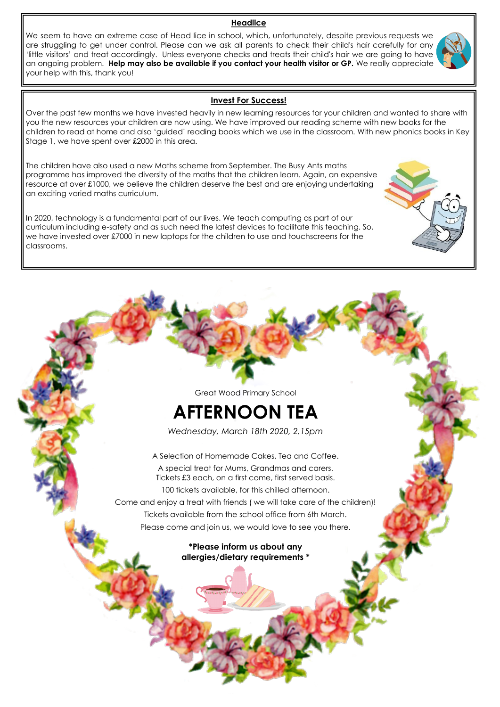#### **Headlice**

We seem to have an extreme case of Head lice in school, which, unfortunately, despite previous requests we are struggling to get under control. Please can we ask all parents to check their child's hair carefully for any 'little visitors' and treat accordingly. Unless everyone checks and treats their child's hair we are going to have an ongoing problem. **Help may also be available if you contact your health visitor or GP.** We really appreciate your help with this, thank you!

#### **Invest For Success!**

Over the past few months we have invested heavily in new learning resources for your children and wanted to share with you the new resources your children are now using. We have improved our reading scheme with new books for the children to read at home and also 'guided' reading books which we use in the classroom. With new phonics books in Key Stage 1, we have spent over £2000 in this area.

The children have also used a new Maths scheme from September. The Busy Ants maths programme has improved the diversity of the maths that the children learn. Again, an expensive resource at over £1000, we believe the children deserve the best and are enjoying undertaking an exciting varied maths curriculum.

In 2020, technology is a fundamental part of our lives. We teach computing as part of our curriculum including e-safety and as such need the latest devices to facilitate this teaching. So, we have invested over £7000 in new laptops for the children to use and touchscreens for the classrooms.

Great Wood Primary School

# **AFTERNOON TEA**

*Wednesday, March 18th 2020, 2.15pm*

A Selection of Homemade Cakes, Tea and Coffee. A special treat for Mums, Grandmas and carers. Tickets £3 each, on a first come, first served basis. 100 tickets available, for this chilled afternoon. Come and enjoy a treat with friends ( we will take care of the children)! Tickets available from the school office from 6th March. Please come and join us, we would love to see you there.

### **\*Please inform us about any allergies/dietary requirements \***